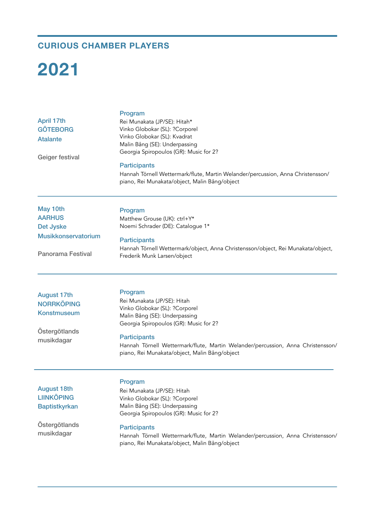## **CURIOUS CHAMBER PLAYERS**

## **2021**

| <b>April 17th</b><br><b>GÖTEBORG</b><br><b>Atalante</b><br>Geiger festival | Program<br>Rei Munakata (JP/SE): Hitah*<br>Vinko Globokar (SL): ?Corporel<br>Vinko Globokar (SL): Kvadrat<br>Malin Bång (SE): Underpassing<br>Georgia Spiropoulos (GR): Music for 2? |
|----------------------------------------------------------------------------|--------------------------------------------------------------------------------------------------------------------------------------------------------------------------------------|
|                                                                            | <b>Participants</b><br>Hannah Törnell Wettermark/flute, Martin Welander/percussion, Anna Christensson/<br>piano, Rei Munakata/object, Malin Bång/object                              |
| May 10th                                                                   | Program                                                                                                                                                                              |
| <b>AARHUS</b>                                                              | Matthew Grouse (UK): ctrl+Y*                                                                                                                                                         |
| <b>Det Jyske</b>                                                           | Noemi Schrader (DE): Catalogue 1*                                                                                                                                                    |
| Musikkonservatorium                                                        | <b>Participants</b>                                                                                                                                                                  |
| <b>Panorama Festival</b>                                                   | Hannah Törnell Wettermark/object, Anna Christensson/object, Rei Munakata/object,<br>Frederik Munk Larsen/object                                                                      |
|                                                                            |                                                                                                                                                                                      |
| <b>August 17th</b>                                                         | Program                                                                                                                                                                              |
| <b>NORRKÖPING</b>                                                          | Rei Munakata (JP/SE): Hitah<br>Vinko Globokar (SL): ?Corporel                                                                                                                        |
| Konstmuseum                                                                | Malin Bång (SE): Underpassing                                                                                                                                                        |
|                                                                            | Georgia Spiropoulos (GR): Music for 2?                                                                                                                                               |
| Östergötlands                                                              |                                                                                                                                                                                      |
| musikdagar                                                                 | <b>Participants</b><br>Hannah Törnell Wettermark/flute, Martin Welander/percussion, Anna Christensson/                                                                               |
|                                                                            | piano, Rei Munakata/object, Malin Bång/object                                                                                                                                        |
|                                                                            | Program                                                                                                                                                                              |
| <b>August 18th</b>                                                         | Rei Munakata (JP/SE): Hitah                                                                                                                                                          |
| <b>LIINKÖPING</b>                                                          | Vinko Globokar (SL): ?Corporel                                                                                                                                                       |
| <b>Baptistkyrkan</b>                                                       | Malin Bång (SE): Underpassing                                                                                                                                                        |
|                                                                            | Georgia Spiropoulos (GR): Music for 2?                                                                                                                                               |

Östergötlands musikdagar

**Participants** 

Hannah Törnell Wettermark/flute, Martin Welander/percussion, Anna Christensson/ piano, Rei Munakata/object, Malin Bång/object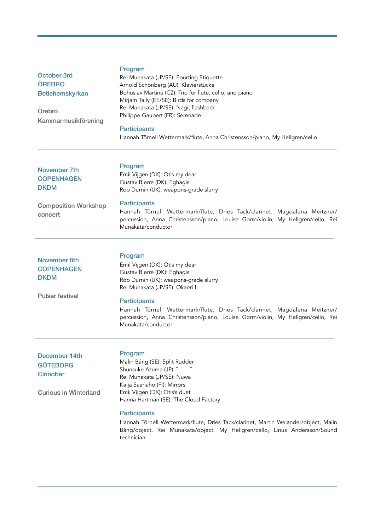| October 3rd<br><b>ÖREBRO</b><br><b>Betlehemskyrkan</b><br>Örebro<br>Kammarmusikförening    | Program<br>Rei Munakata (JP/SE): Pourting Etiquette<br>Arnold Schönberg (AU): Klavierstücke<br>Bohuslav Martinu (CZ): Trio for flute, cello, and piano<br>Mirjam Tally (EE/SE): Birds for company<br>Rei Munakata (JP/SE): Nagi, flashback<br>Philippe Gaubert (FR): Serenade<br><b>Participants</b><br>Hannah Törnell Wettermark/flute, Anna Christensson/piano, My Hellgren/cello |
|--------------------------------------------------------------------------------------------|-------------------------------------------------------------------------------------------------------------------------------------------------------------------------------------------------------------------------------------------------------------------------------------------------------------------------------------------------------------------------------------|
| November 7th<br><b>COPENHAGEN</b><br><b>DKDM</b><br><b>Composition Workshop</b><br>concert | Program<br>Emil Vijgen (DK): Otis my dear<br>Gustav Bjerre (DK): Eghagis<br>Rob Durnin (UK): weapons-grade slurry<br><b>Participants</b><br>Hannah Törnell Wettermark/flute, Dries Tack/clarinet, Magdalena Meitzner/<br>percussion, Anna Christensson/piano, Louise Gorm/violin, My Hellgren/cello, Rei<br>Munakata/conductor                                                      |
| <b>November 8th</b><br><b>COPENHAGEN</b><br><b>DKDM</b><br><b>Pulsar festival</b>          | Program<br>Emil Vijgen (DK): Otis my dear<br>Gustav Bjerre (DK): Eghagis<br>Rob Durnin (UK): weapons-grade slurry<br>Rei Munakata (JP/SE): Okaeri II<br><b>Participants</b><br>Hannah Törnell Wettermark/flute, Dries Tack/clarinet, Magdalena Meitzner/<br>percussion, Anna Christensson/piano, Louise Gorm/violin, My Hellgren/cello, Rei<br>Munakata/conductor                   |
| December 14th<br><b>GÖTEBORG</b><br><b>Cinnober</b><br><b>Curious in Winterland</b>        | Program<br>Malin Bång (SE): Split Rudder<br>Shunsuke Azuma (JP): "<br>Rei Munakata (JP/SE): Nuwa<br>Kaija Saariaho (FI): Mirrors<br>Emil Vijgen (DK): Otis's duet<br>Hanna Hartman (SE): The Cloud Factory<br><b>Participants</b>                                                                                                                                                   |

Hannah Törnell Wettermark/flute, Dries Tack/clarinet, Martin Welander/object, Malin Bång/object, Rei Munakata/object, My Hellgren/cello, Linus Andersson/Sound technician